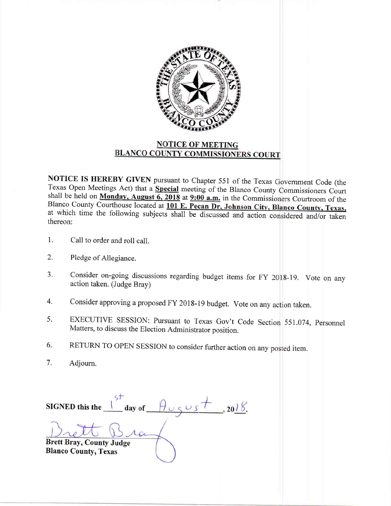

## **NOTICE OF MEETING BLANCO COUNTY COMMISSIONERS COURT**

NOTICE IS HEREBY GIVEN pursuant to Chapter 551 of the Texas Government Code (the Texas Open Meetings Act) that a Special meeting of the Blanco County Commissioners Court shall be held on Monday, August  $\overline{6,2018}$  at  $\overline{9:00}$  a.m. in the Commissioners Courtroom of the Blanco County Courthouse located at 101 E. Pecan Dr, Johnson City, Blanco County, Texas, at which time the following subjects shall be discussed and action considered and/or taken thereon:

- $1.$ Call to order and roll call.
- $2.$ Pledge of Allegiance.
- Consider on-going discussions regarding budget items for FY 2018-19. Vote on any 3. action taken. (Judge Bray)
- Consider approving a proposed FY 2018-19 budget. Vote on any action taken. 4.
- EXECUTIVE SESSION: Pursuant to Texas Gov't Code Section 551.074, Personnel 5. Matters, to discuss the Election Administrator position.
- RETURN TO OPEN SESSION to consider further action on any posted item. 6.
- $7.$ Adjourn.

day of  $\theta \cup \{3, 20\}$ , 2018. SIGNED this the **Brett Bray, County Judge Blanco County, Texas**